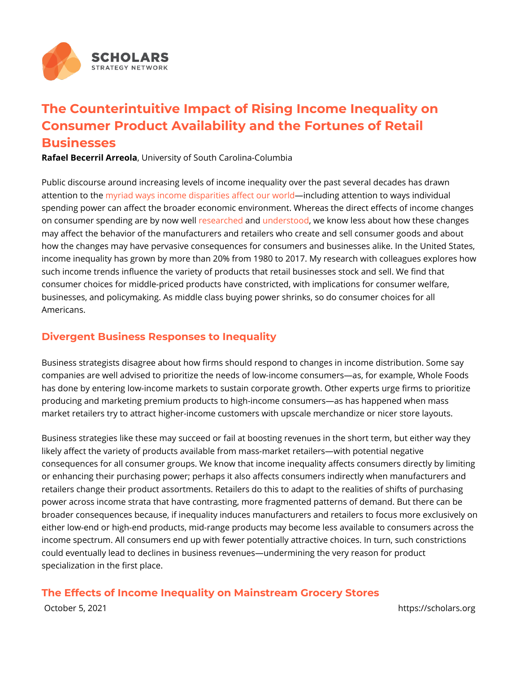## The Counterintuitive Impact of Rising Income Inequa Consumer Product Availability and the Fortunes of R Businesses

Rafael Becerril Adde in arisity of South Carolina-Columbia

Public discourse around increasing levels of income inequality over the past s attention tonythiead ways income disparities anifol adionugrant benhation to ways individua spending power can affect the broader economic environment. Whereas the dire on consumer spending are by enaow have dinderstowle know less about how these ch may affect the behavior of the manufacturers and retailers who create and sell how the changes may have pervasive consequences for consumers and busines income inequality has grown by more than 20% from 1980 to 2017. My research such income trends influence the variety of products that retail businesses sto consumer choices for middle-priced products have constricted, with implicatior businesses, and policymaking. As middle class buying power shrinks, so do co Americans.

## Divergent Business Responses to Inequality

Business strategists disagree about how firms should respond to changes in in companies are well advised to prioritize the needs of low-income consumers as has done by entering low-income markets to sustain corporate growth. Other experts urge firms to prioritize fi producing and marketing premium products to high-income consumers as has h market retailers try to attract higher-income customers with upscale merchandi

Business strategies like these may succeed or fail at boosting revenues in the likely affect the variety of products available from mass-market retailers with consequences for all consumer groups. We know that income inequality affects or enhancing their purchasing power; perhaps it also affects consumers indired retailers change their product assortments. Retailers do this to adapt to the re power across income strata that have contrasting, more fragmented patterns of broader consequences because, if inequality induces manufacturers and retaile either low-end or high-end products, mid-range products may become less avai income spectrum. All consumers end up with fewer potentially attractive choice could eventually lead to declines in business revenues undermining the very re specialization in the first place.

The Effects of Income Inequality on Mainstream Grocery Stores October 5, 2021 https://scholars.org